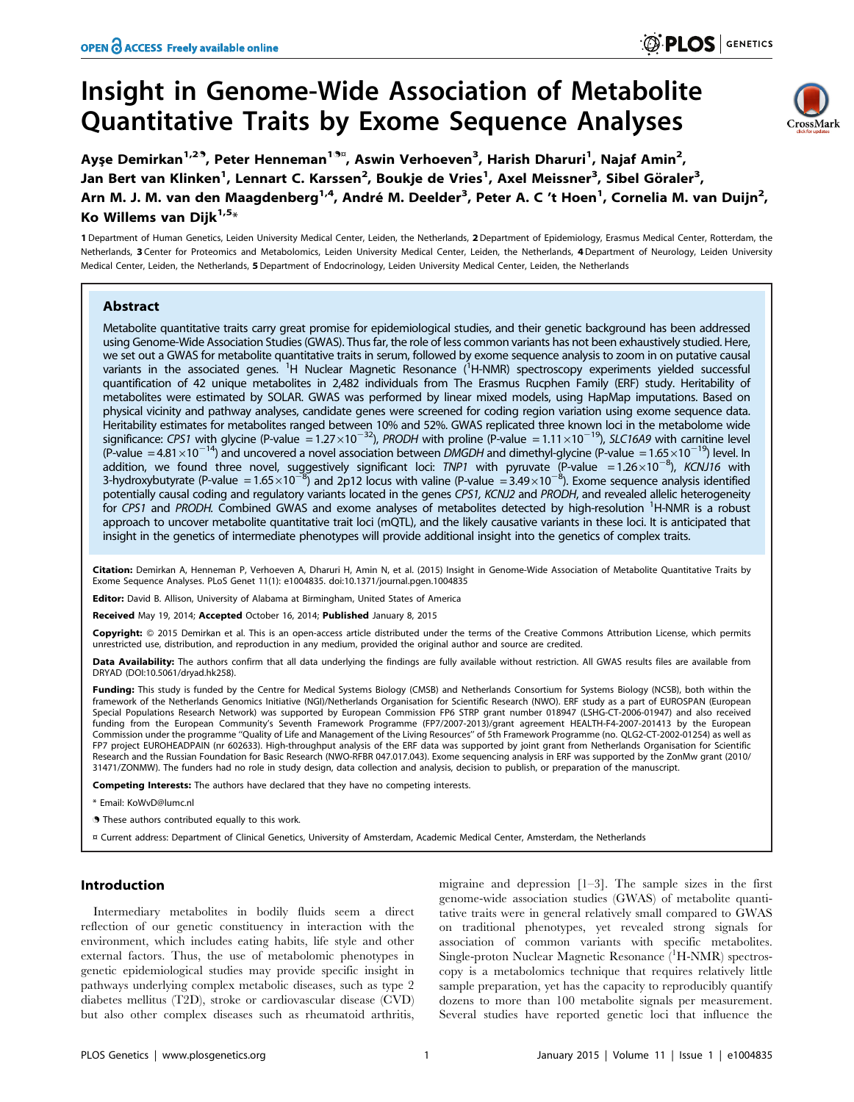# Insight in Genome-Wide Association of Metabolite Quantitative Traits by Exome Sequence Analyses



 $\circledcirc$  PLOS GENETICS

Ayşe Demirkan<sup>1,29</sup>, Peter Henneman<sup>19¤</sup>, Aswin Verhoeven<sup>3</sup>, Harish Dharuri<sup>1</sup>, Najaf Amin<sup>2</sup>, Jan Bert van Klinken<sup>1</sup>, Lennart C. Karssen<sup>2</sup>, Boukje de Vries<sup>1</sup>, Axel Meissner<sup>3</sup>, Sibel Göraler<sup>3</sup>, Arn M. J. M. van den Maagdenberg<sup>1,4</sup>, André M. Deelder<sup>3</sup>, Peter A. C 't Hoen<sup>1</sup>, Cornelia M. van Duijn<sup>2</sup>, Ko Willems van Dijk $^{1.5*}$ 

1 Department of Human Genetics, Leiden University Medical Center, Leiden, the Netherlands, 2 Department of Epidemiology, Erasmus Medical Center, Rotterdam, the Netherlands, 3 Center for Proteomics and Metabolomics, Leiden University Medical Center, Leiden, the Netherlands, 4 Department of Neurology, Leiden University Medical Center, Leiden, the Netherlands, 5 Department of Endocrinology, Leiden University Medical Center, Leiden, the Netherlands

# Abstract

Metabolite quantitative traits carry great promise for epidemiological studies, and their genetic background has been addressed using Genome-Wide Association Studies (GWAS). Thus far, the role of less common variants has not been exhaustively studied. Here, we set out a GWAS for metabolite quantitative traits in serum, followed by exome sequence analysis to zoom in on putative causal variants in the associated genes. <sup>1</sup>H Nuclear Magnetic Resonance (<sup>1</sup>H-NMR) spectroscopy experiments yielded successful quantification of 42 unique metabolites in 2,482 individuals from The Erasmus Rucphen Family (ERF) study. Heritability of metabolites were estimated by SOLAR. GWAS was performed by linear mixed models, using HapMap imputations. Based on physical vicinity and pathway analyses, candidate genes were screened for coding region variation using exome sequence data. Heritability estimates for metabolites ranged between 10% and 52%. GWAS replicated three known loci in the metabolome wide significance: CPS1 with glycine (P-value = 1.27×10<sup>-32</sup>), PRODH with proline (P-value = 1.11×10<sup>-19</sup>), SLC16A9 with carnitine level (P-value = 4.81 × 10<sup>-14</sup>) and uncovered a novel association between DMGDH and dimethyl-glycine (P-value = 1.65 × 10<sup>-19</sup>) level. In addition, we found three novel, suggestively significant loci: TNP1 with pyruvate (P-value = 1.26 $\times10^{-8}$ ), KCNJ16 with 3-hydroxybutyrate (P-value = 1.65 $\times$ 10<sup>-8</sup>) and 2p12 locus with valine (P-value = 3.49 $\times$ 10<sup>-8</sup>). Exome sequence analysis identified potentially causal coding and regulatory variants located in the genes CPS1, KCNJ2 and PRODH, and revealed allelic heterogeneity for CPS1 and PRODH. Combined GWAS and exome analyses of metabolites detected by high-resolution <sup>1</sup>H-NMR is a robust approach to uncover metabolite quantitative trait loci (mQTL), and the likely causative variants in these loci. It is anticipated that insight in the genetics of intermediate phenotypes will provide additional insight into the genetics of complex traits.

Citation: Demirkan A, Henneman P, Verhoeven A, Dharuri H, Amin N, et al. (2015) Insight in Genome-Wide Association of Metabolite Quantitative Traits by Exome Sequence Analyses. PLoS Genet 11(1): e1004835. doi:10.1371/journal.pgen.1004835

Editor: David B. Allison, University of Alabama at Birmingham, United States of America

Received May 19, 2014; Accepted October 16, 2014; Published January 8, 2015

**Copyright:** © 2015 Demirkan et al. This is an open-access article distributed under the terms of the [Creative Commons Attribution License](http://creativecommons.org/licenses/by/4.0/), which permits unrestricted use, distribution, and reproduction in any medium, provided the original author and source are credited.

Data Availability: The authors confirm that all data underlying the findings are fully available without restriction. All GWAS results files are available from DRYAD (DOI:10.5061/dryad.hk258).

Funding: This study is funded by the Centre for Medical Systems Biology (CMSB) and Netherlands Consortium for Systems Biology (NCSB), both within the framework of the Netherlands Genomics Initiative (NGI)/Netherlands Organisation for Scientific Research (NWO). ERF study as a part of EUROSPAN (European Special Populations Research Network) was supported by European Commission FP6 STRP grant number 018947 (LSHG-CT-2006-01947) and also received funding from the European Community's Seventh Framework Programme (FP7/2007-2013)/grant agreement HEALTH-F4-2007-201413 by the European Commission under the programme ''Quality of Life and Management of the Living Resources'' of 5th Framework Programme (no. QLG2-CT-2002-01254) as well as FP7 project EUROHEADPAIN (nr 602633). High-throughput analysis of the ERF data was supported by joint grant from Netherlands Organisation for Scientific Research and the Russian Foundation for Basic Research (NWO-RFBR 047.017.043). Exome sequencing analysis in ERF was supported by the ZonMw grant (2010/ 31471/ZONMW). The funders had no role in study design, data collection and analysis, decision to publish, or preparation of the manuscript.

Competing Interests: The authors have declared that they have no competing interests.

\* Email: KoWvD@lumc.nl

. These authors contributed equally to this work.

¤ Current address: Department of Clinical Genetics, University of Amsterdam, Academic Medical Center, Amsterdam, the Netherlands

#### Introduction

Intermediary metabolites in bodily fluids seem a direct reflection of our genetic constituency in interaction with the environment, which includes eating habits, life style and other external factors. Thus, the use of metabolomic phenotypes in genetic epidemiological studies may provide specific insight in pathways underlying complex metabolic diseases, such as type 2 diabetes mellitus (T2D), stroke or cardiovascular disease (CVD) but also other complex diseases such as rheumatoid arthritis,

migraine and depression [1–3]. The sample sizes in the first genome-wide association studies (GWAS) of metabolite quantitative traits were in general relatively small compared to GWAS on traditional phenotypes, yet revealed strong signals for association of common variants with specific metabolites. Single-proton Nuclear Magnetic Resonance (<sup>1</sup>H-NMR) spectroscopy is a metabolomics technique that requires relatively little sample preparation, yet has the capacity to reproducibly quantify dozens to more than 100 metabolite signals per measurement. Several studies have reported genetic loci that influence the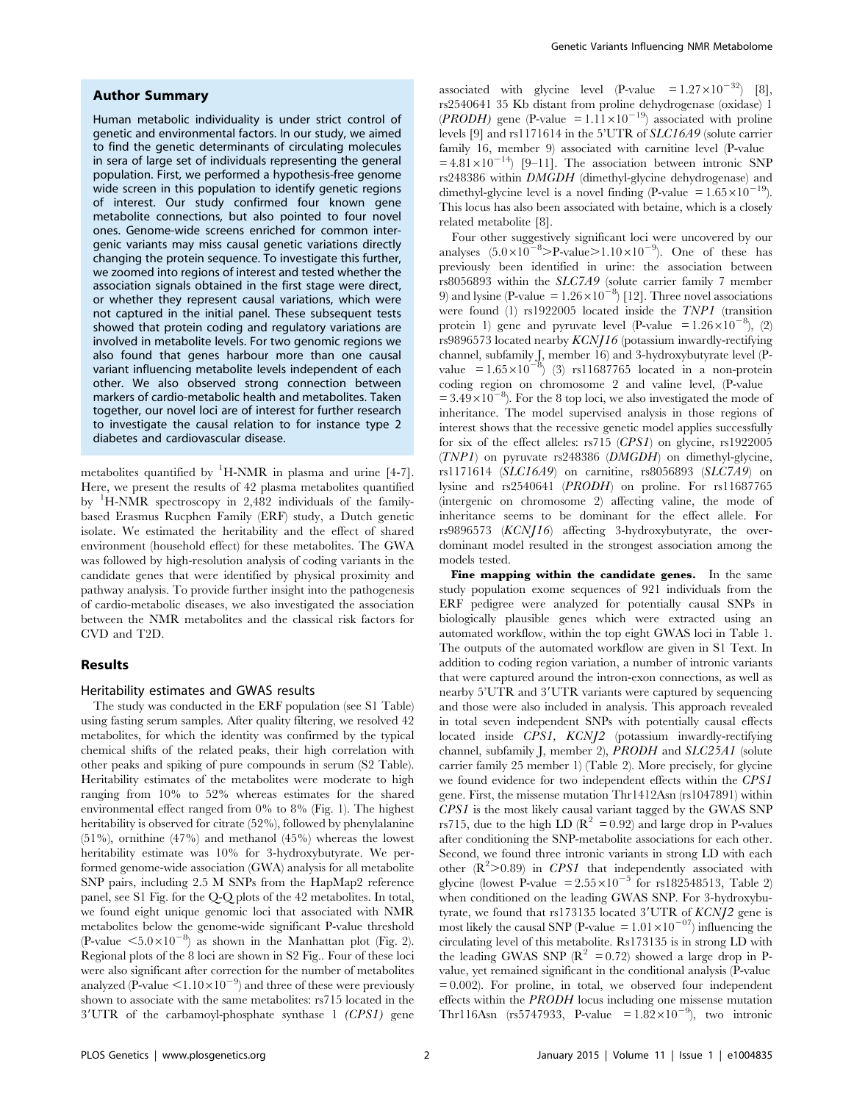#### Author Summary

Human metabolic individuality is under strict control of genetic and environmental factors. In our study, we aimed to find the genetic determinants of circulating molecules in sera of large set of individuals representing the general population. First, we performed a hypothesis-free genome wide screen in this population to identify genetic regions of interest. Our study confirmed four known gene metabolite connections, but also pointed to four novel ones. Genome-wide screens enriched for common intergenic variants may miss causal genetic variations directly changing the protein sequence. To investigate this further, we zoomed into regions of interest and tested whether the association signals obtained in the first stage were direct, or whether they represent causal variations, which were not captured in the initial panel. These subsequent tests showed that protein coding and regulatory variations are involved in metabolite levels. For two genomic regions we also found that genes harbour more than one causal variant influencing metabolite levels independent of each other. We also observed strong connection between markers of cardio-metabolic health and metabolites. Taken together, our novel loci are of interest for further research to investigate the causal relation to for instance type 2 diabetes and cardiovascular disease.

metabolites quantified by  ${}^{1}$ H-NMR in plasma and urine [4-7]. Here, we present the results of 42 plasma metabolites quantified by <sup>1</sup>H-NMR spectroscopy in 2,482 individuals of the familybased Erasmus Rucphen Family (ERF) study, a Dutch genetic isolate. We estimated the heritability and the effect of shared environment (household effect) for these metabolites. The GWA was followed by high-resolution analysis of coding variants in the candidate genes that were identified by physical proximity and pathway analysis. To provide further insight into the pathogenesis of cardio-metabolic diseases, we also investigated the association between the NMR metabolites and the classical risk factors for CVD and T2D.

## Results

#### Heritability estimates and GWAS results

The study was conducted in the ERF population (see S1 Table) using fasting serum samples. After quality filtering, we resolved 42 metabolites, for which the identity was confirmed by the typical chemical shifts of the related peaks, their high correlation with other peaks and spiking of pure compounds in serum (S2 Table). Heritability estimates of the metabolites were moderate to high ranging from 10% to 52% whereas estimates for the shared environmental effect ranged from 0% to 8% (Fig. 1). The highest heritability is observed for citrate (52%), followed by phenylalanine (51%), ornithine (47%) and methanol (45%) whereas the lowest heritability estimate was 10% for 3-hydroxybutyrate. We performed genome-wide association (GWA) analysis for all metabolite SNP pairs, including 2.5 M SNPs from the HapMap2 reference panel, see S1 Fig. for the Q-Q plots of the 42 metabolites. In total, we found eight unique genomic loci that associated with NMR metabolites below the genome-wide significant P-value threshold (P-value  $\leq 5.0 \times 10^{-8}$ ) as shown in the Manhattan plot (Fig. 2). Regional plots of the 8 loci are shown in S2 Fig.. Four of these loci were also significant after correction for the number of metabolites analyzed (P-value  $\leq 1.10\times10^{-9}$ ) and three of these were previously shown to associate with the same metabolites: rs715 located in the 3'UTR of the carbamoyl-phosphate synthase 1 (CPS1) gene

associated with glycine level (P-value =  $1.27 \times 10^{-32}$ ) [8], rs2540641 35 Kb distant from proline dehydrogenase (oxidase) 1 (*PRODH*) gene (P-value =  $1.11 \times 10^{-19}$ ) associated with proline levels [9] and rs1171614 in the 5'UTR of SLC16A9 (solute carrier family 16, member 9) associated with carnitine level (P-value  $= 4.81 \times 10^{-14}$  [9–11]. The association between intronic SNP rs248386 within DMGDH (dimethyl-glycine dehydrogenase) and dimethyl-glycine level is a novel finding (P-value  $= 1.65 \times 10^{-19}$ ). This locus has also been associated with betaine, which is a closely related metabolite [8].

Four other suggestively significant loci were uncovered by our analyses  $(5.0 \times 10^{-8} > P$ -value $> 1.10 \times 10^{-9}$ ). One of these has previously been identified in urine: the association between rs8056893 within the SLC7A9 (solute carrier family 7 member 9) and lysine (P-value =  $1.26 \times 10^{-8}$ ) [12]. Three novel associations were found (1) rs1922005 located inside the TNP1 (transition protein 1) gene and pyruvate level (P-value =  $1.26 \times 10^{-8}$ ), (2) rs9896573 located nearby KCNJ16 (potassium inwardly-rectifying channel, subfamily J, member 16) and 3-hydroxybutyrate level (Pvalue =  $1.65 \times 10^{-8}$  (3) rs11687765 located in a non-protein coding region on chromosome 2 and valine level, (P-value  $= 3.49 \times 10^{-8}$ ). For the 8 top loci, we also investigated the mode of inheritance. The model supervised analysis in those regions of interest shows that the recessive genetic model applies successfully for six of the effect alleles: rs715 (CPS1) on glycine, rs1922005  $(TNP1)$  on pyruvate rs248386 (DMGDH) on dimethyl-glycine, rs1171614 (SLC16A9) on carnitine, rs8056893 (SLC7A9) on lysine and rs2540641 (PRODH) on proline. For rs11687765 (intergenic on chromosome 2) affecting valine, the mode of inheritance seems to be dominant for the effect allele. For rs9896573 (KCNJ16) affecting 3-hydroxybutyrate, the overdominant model resulted in the strongest association among the models tested.

Fine mapping within the candidate genes. In the same study population exome sequences of 921 individuals from the ERF pedigree were analyzed for potentially causal SNPs in biologically plausible genes which were extracted using an automated workflow, within the top eight GWAS loci in Table 1. The outputs of the automated workflow are given in S1 Text. In addition to coding region variation, a number of intronic variants that were captured around the intron-exon connections, as well as nearby 5'UTR and 3'UTR variants were captured by sequencing and those were also included in analysis. This approach revealed in total seven independent SNPs with potentially causal effects located inside CPS1, KCNJ2 (potassium inwardly-rectifying channel, subfamily J, member 2), PRODH and SLC25A1 (solute carrier family 25 member 1) (Table 2). More precisely, for glycine we found evidence for two independent effects within the CPS1 gene. First, the missense mutation Thr1412Asn (rs1047891) within CPS1 is the most likely causal variant tagged by the GWAS SNP rs715, due to the high LD ( $\mathbb{R}^2 = 0.92$ ) and large drop in P-values after conditioning the SNP-metabolite associations for each other. Second, we found three intronic variants in strong LD with each other  $(R^2>0.89)$  in CPS1 that independently associated with glycine (lowest P-value =  $2.55 \times 10^{-5}$  for rs182548513, Table 2) when conditioned on the leading GWAS SNP. For 3-hydroxybutyrate, we found that  $rs173135$  located  $3'UTR$  of  $KCNJ2$  gene is most likely the causal SNP (P-value =  $1.01 \times 10^{-07}$ ) influencing the circulating level of this metabolite. Rs173135 is in strong LD with the leading GWAS SNP  $(R^2 = 0.72)$  showed a large drop in Pvalue, yet remained significant in the conditional analysis (P-value  $= 0.002$ ). For proline, in total, we observed four independent effects within the PRODH locus including one missense mutation Thr116Asn (rs5747933, P-value =  $1.82 \times 10^{-9}$ ), two intronic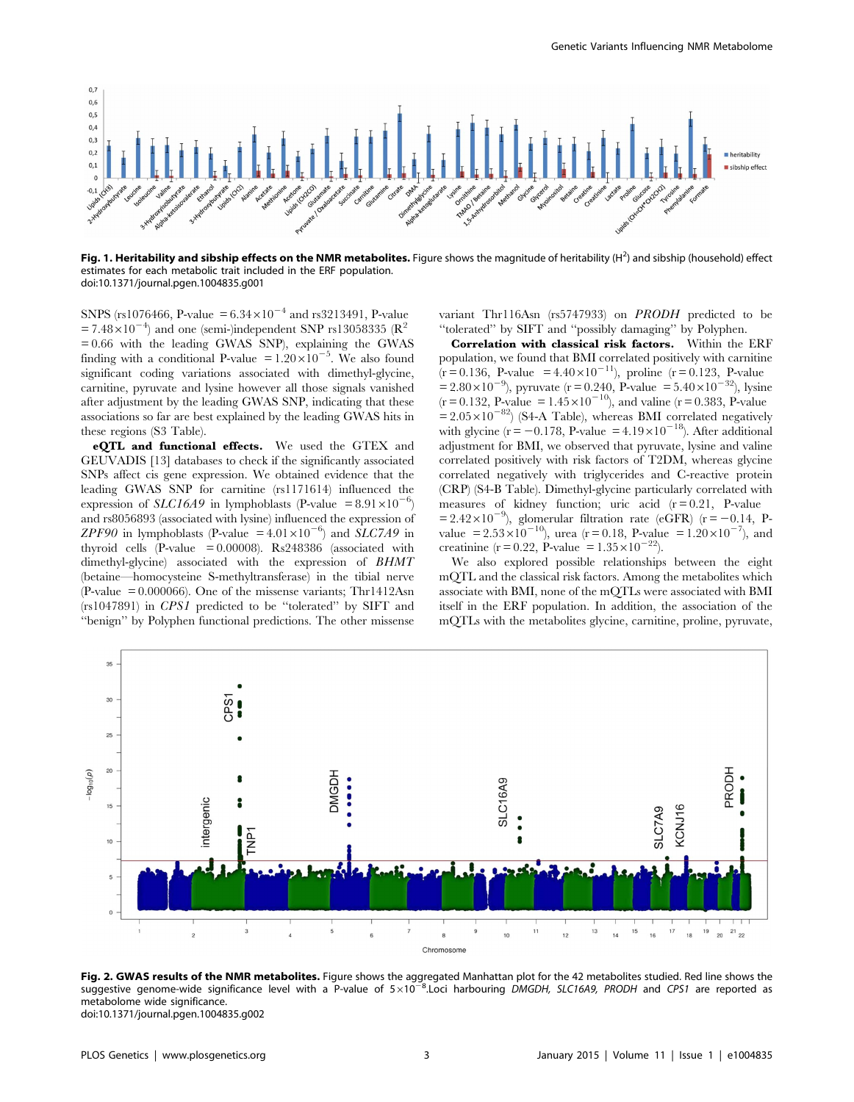

Fig. 1. Heritability and sibship effects on the NMR metabolites. Figure shows the magnitude of heritability (H<sup>2</sup>) and sibship (household) effect estimates for each metabolic trait included in the ERF population. doi:10.1371/journal.pgen.1004835.g001

SNPS (rs1076466, P-value  $= 6.34 \times 10^{-4}$  and rs3213491, P-value  $= 7.48 \times 10^{-4}$ ) and one (semi-)independent SNP rs13058335 ( $\mathbb{R}^2$ )  $= 0.66$  with the leading GWAS SNP), explaining the GWAS finding with a conditional P-value =  $1.20 \times 10^{-5}$ . We also found significant coding variations associated with dimethyl-glycine, carnitine, pyruvate and lysine however all those signals vanished after adjustment by the leading GWAS SNP, indicating that these associations so far are best explained by the leading GWAS hits in these regions (S3 Table).

eQTL and functional effects. We used the GTEX and GEUVADIS [13] databases to check if the significantly associated SNPs affect cis gene expression. We obtained evidence that the leading GWAS SNP for carnitine (rs1171614) influenced the expression of *SLC16A9* in lymphoblasts (P-value =  $8.91 \times 10^{-6}$ ) and rs8056893 (associated with lysine) influenced the expression of ZPF90 in lymphoblasts (P-value =  $4.01 \times 10^{-6}$ ) and SLC7A9 in thyroid cells  $(P-value = 0.00008)$ . Rs248386 (associated with dimethyl-glycine) associated with the expression of BHMT (betaine—homocysteine S-methyltransferase) in the tibial nerve  $(P-value = 0.000066)$ . One of the missense variants; Thr1412Asn (rs1047891) in CPS1 predicted to be ''tolerated'' by SIFT and ''benign'' by Polyphen functional predictions. The other missense variant Thr116Asn (rs5747933) on PRODH predicted to be ''tolerated'' by SIFT and ''possibly damaging'' by Polyphen.

Correlation with classical risk factors. Within the ERF population, we found that BMI correlated positively with carnitine  $(r=0.136, P-value = 4.40 \times 10^{-11})$ , proline (r = 0.123, P-value  $= 2.80 \times 10^{-9}$ ), pyruvate (r = 0.240, P-value = 5.40×10<sup>-32</sup>), lysine  $(r = 0.132, P-value = 1.45 \times 10^{-10})$ , and valine  $(r = 0.383, P-value)$  $= 2.05 \times 10^{-82}$  (S4-A Table), whereas BMI correlated negatively with glycine (r = -0.178, P-value =  $4.19 \times 10^{-18}$ ). After additional adjustment for BMI, we observed that pyruvate, lysine and valine correlated positively with risk factors of T2DM, whereas glycine correlated negatively with triglycerides and C-reactive protein (CRP) (S4-B Table). Dimethyl-glycine particularly correlated with measures of kidney function; uric acid  $(r = 0.21, P-value$  $= 2.42 \times 10^{-9}$ ), glomerular filtration rate (eGFR) (r = -0.14, Pvalue =  $2.53 \times 10^{-10}$ , urea (r = 0.18, P-value =  $1.20 \times 10^{-7}$ ), and creatinine (r = 0.22, P-value =  $1.35 \times 10^{-22}$ ).

We also explored possible relationships between the eight mQTL and the classical risk factors. Among the metabolites which associate with BMI, none of the mQTLs were associated with BMI itself in the ERF population. In addition, the association of the mQTLs with the metabolites glycine, carnitine, proline, pyruvate,



**Fig. 2. GWAS results of the NMR metabolites.** Figure shows the aggregated Manhattan plot for the 42 metabolites studied. Red line shows the<br>suggestive genome-wide significance level with a P-value of 5×10<sup>-8</sup>.Loci harbour metabolome wide significance. doi:10.1371/journal.pgen.1004835.g002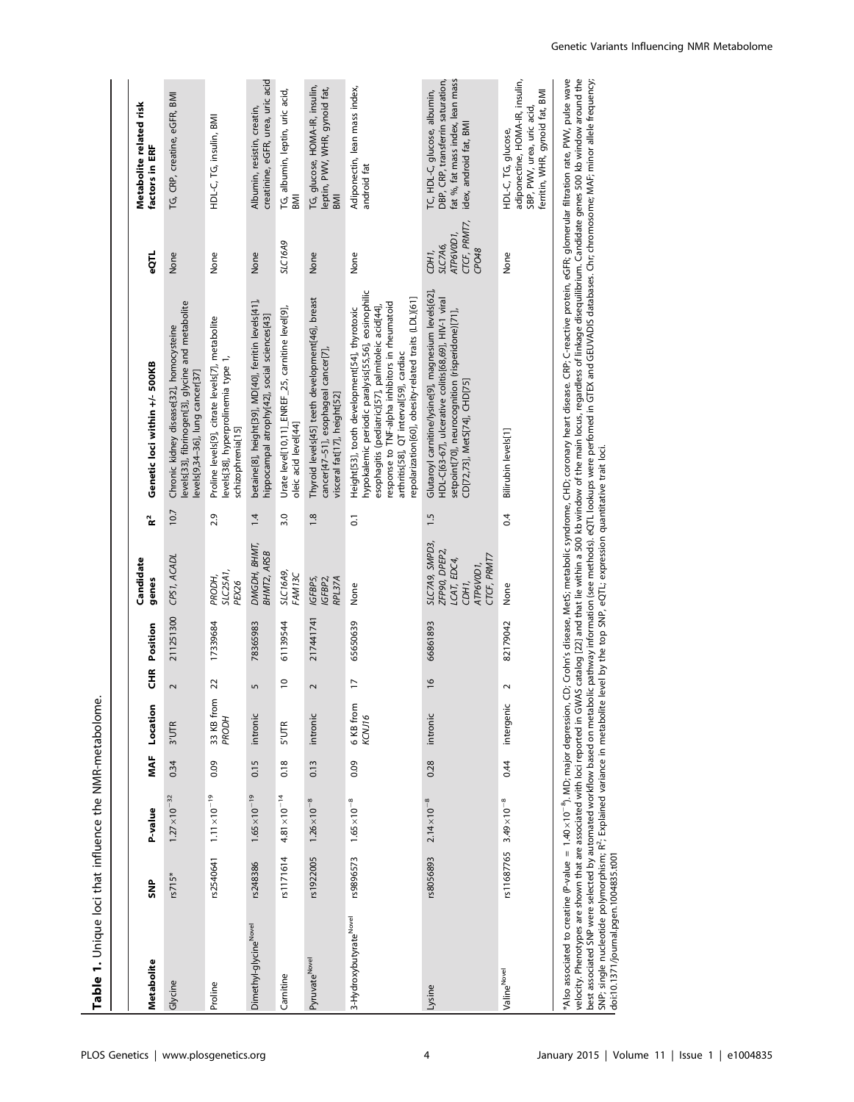| None<br>Chronic kidney disease[32], homocysteine<br>10.7                                                                                                                                                                                                                                                               | Metabolite related risk<br>factors in ERF<br>eQTL                                                                                                                                                                                                                                                                                                                                                                                                                                                                                                                                                                                                                                                             |
|------------------------------------------------------------------------------------------------------------------------------------------------------------------------------------------------------------------------------------------------------------------------------------------------------------------------|---------------------------------------------------------------------------------------------------------------------------------------------------------------------------------------------------------------------------------------------------------------------------------------------------------------------------------------------------------------------------------------------------------------------------------------------------------------------------------------------------------------------------------------------------------------------------------------------------------------------------------------------------------------------------------------------------------------|
| evels[33], fibrinogen[3], glycine and metabolite<br>evels[9,34-36], lung cancer[37]                                                                                                                                                                                                                                    | TG, CRP, creatine, eGFR, BMI                                                                                                                                                                                                                                                                                                                                                                                                                                                                                                                                                                                                                                                                                  |
| None<br>Proline levels[9], citrate levels[7], metabolite<br>levels[38], hyperprolinemia type 1,<br>schizophrenia[15]                                                                                                                                                                                                   | HDL-C, TG, insulin, BMI                                                                                                                                                                                                                                                                                                                                                                                                                                                                                                                                                                                                                                                                                       |
| None<br>betaine[8], height[39], MD[40], ferritin levels[41],<br>hippocampal atrophy[42], social sciences[43]                                                                                                                                                                                                           | creatinine, eGFR, urea, uric acid<br>Albumin, resistin, creatin,                                                                                                                                                                                                                                                                                                                                                                                                                                                                                                                                                                                                                                              |
| Urate level[10,11]_ENREF_25, carnitine level[9],<br>pleic acid level[44]                                                                                                                                                                                                                                               | TG, albumin, leptin, uric acid,<br>BMI<br><b>SLC16A9</b>                                                                                                                                                                                                                                                                                                                                                                                                                                                                                                                                                                                                                                                      |
| None<br>Thyroid levels[45] teeth development[46], breast<br>cancer[47-51], esophageal cancer[7],<br>visceral fat[17], height[52]                                                                                                                                                                                       | TG, glucose, HOMA-IR, insulin,<br>leptin, PWV, WHR, gynoid fat,<br>BMI                                                                                                                                                                                                                                                                                                                                                                                                                                                                                                                                                                                                                                        |
| None<br>hypokalemic periodic paralysis[55,56], eosinophilic<br>repolarization[60], obesity-related traits (LDL)[61]<br>response to TNF-alpha inhibitors in rheumatoid<br>Height[53], tooth development[54], thyrotoxic<br>esophagitis (pediatric)[57], palmitoleic acid[44]<br>arthritis[58], QT interval[59], cardiac | Adiponectin, lean mass index,<br>android fat                                                                                                                                                                                                                                                                                                                                                                                                                                                                                                                                                                                                                                                                  |
| СDН1,<br>Glutaroyl carnitine/lysine[9], magnesium levels[62],<br>HDL-C[63-67], ulcerative colitis[68,69], HIV-1 viral<br>setpoint[70], neurocognition (risperidone)[71],<br>CD[72,73], MetS[74], CHD[75]                                                                                                               | fat %, fat mass index, lean mass<br>DBP, CRP, transferrin saturation,<br>TC, HDL-C, glucose, albumin,<br>idex, android fat, BMI<br>CTCF, PRMT7,<br>ATP6VOD1,<br>SLC7A6,<br>CPO48                                                                                                                                                                                                                                                                                                                                                                                                                                                                                                                              |
| Bilirubin levels[1]                                                                                                                                                                                                                                                                                                    | adiponectine, HOMA-IR, insulin,<br>ferritin, WHR, gynoid fat, BMI<br>SBP, PWV, urea, uric acid,<br>HDL-C, TG, glucose,                                                                                                                                                                                                                                                                                                                                                                                                                                                                                                                                                                                        |
| level by the top SNP, eQTL; expression quantitative trait loci.                                                                                                                                                                                                                                                        | *Also associated to creatine (P-value = 1.40×10 <sup>-6</sup> ). MD; major depression, CD; Crohn's disease. MetS; metabolic syndrome, CHD; coronary heart disease. CRP; C-reactive protein, eGFR; glomerular filtration rate, PWV, pulse<br>velocity. Phenotypes are shown that are associated with loci reported in GWAS catalog [22] and that lie within a 500 kb window of the main locus, regardless of linkage disequilibrium. Candidate genes 500 kb window around t<br>best associated SNP were selected by automated workflow based on metabolic pathway information (see methods). eQTL lookups were perforned in GTEX and GELVADIS databases. Chr; chromosome; MAF; minor allele frequency;<br>None |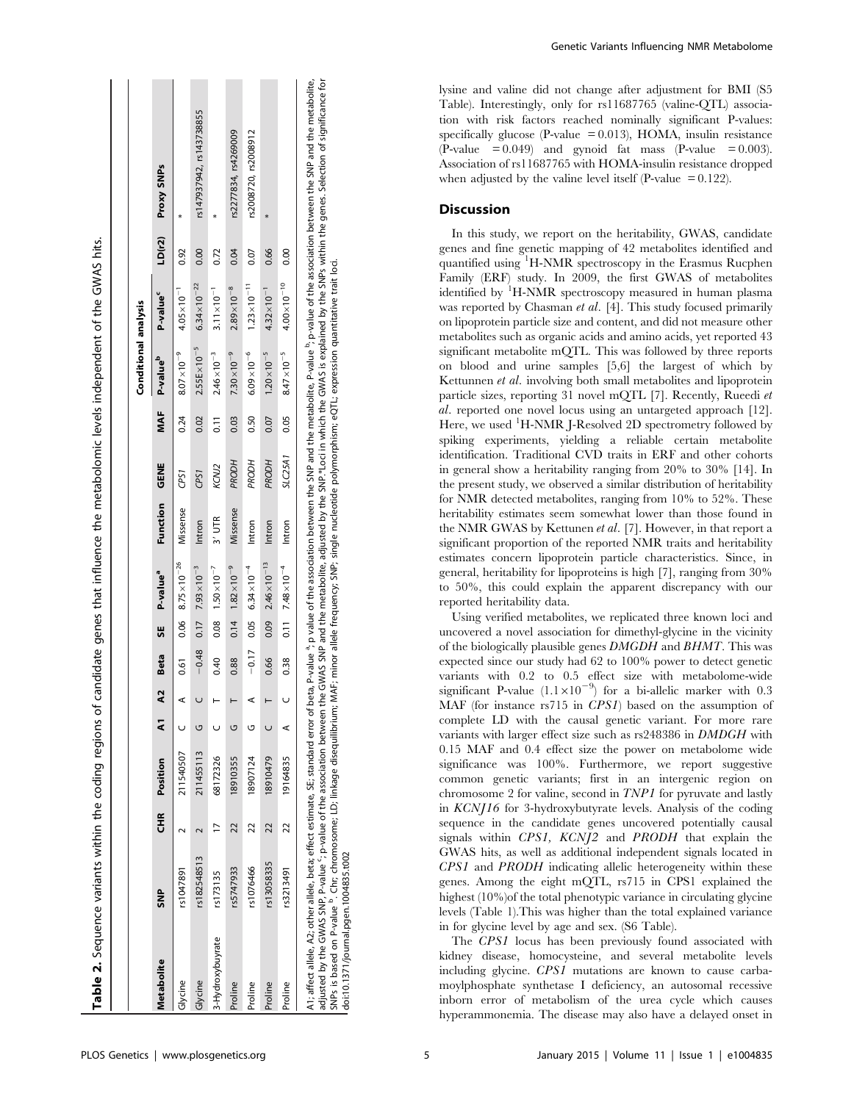|                   |             |        |           |   |                |           |      |                               |          |                  |                 | Conditional analysis   |                        |        |                          |  |
|-------------------|-------------|--------|-----------|---|----------------|-----------|------|-------------------------------|----------|------------------|-----------------|------------------------|------------------------|--------|--------------------------|--|
| <b>Metabolite</b> | 을<br>동      | 또<br>또 | Position  | ā | $\overline{A}$ | Beta      | 55   | P-value <sup>a</sup>          | Function | <b>GENE</b>      | MAF             | P-value <sup>b</sup>   | P-value <sup>c</sup>   | LD(r2) | Proxy SNPs               |  |
| Glycine           | rs1047891   |        | 211540507 |   | ⋖              | <b>61</b> |      | $0.06$ $8.75 \times 10^{-26}$ | Missense | CPSI             | 0.24            | $8.07 \times 10^{-9}$  | $4.05 \times 10^{-1}$  | 0.92   |                          |  |
| Glycine           | rs182548513 |        | 211455113 |   |                | $-0.48$   |      | $0.17$ $7.93 \times 10^{-3}$  | Intron   | CPS <sub>1</sub> | 0.02            | $2.55E \times 10^{-5}$ | $6.34 \times 10^{-22}$ | 0.00   | rs147937942, rs143738855 |  |
| 3-Hydroxybuyrate  | rs173135    |        | 68172326  |   |                | 0.40      |      | $0.08$ $1.50 \times 10^{-7}$  | $3'$ UTR | KCNJ2            | $\overline{11}$ | $2.46 \times 10^{-3}$  | $3.11 \times 10^{-1}$  | 0.72   |                          |  |
| Proline           | rs5747933   | 22     | 18910355  |   |                | 0.88      | 0.14 | $1.82 \times 10^{-9}$         | Missense | <b>PRODH</b>     | 0.03            | $7.30\times10^{-9}$    | $2.89 \times 10^{-8}$  | 0.04   | rs2277834, rs4269009     |  |
| Proline           | rs1076466   | 22     | 18907124  |   | ⋖              | $-0.17$   | 0.05 | $6.34 \times 10^{-4}$         | Intron   | PRODH            | 0.50            | $6.09 \times 10^{-6}$  | $1.23 \times 10^{-11}$ | 0.07   | rs2008720, rs2008912     |  |
| Proline           | rs13058335  | 22     | 18910479  |   |                | 0.66      | 0.09 | $2.46 \times 10^{-13}$        | Intron   | <b>PRODH</b>     | 0.07            | $1.20 \times 10^{-5}$  | $4.32 \times 10^{-1}$  | 0.66   |                          |  |
| Proline           | rs3213491   | 22     | 19164835  |   |                | 0.38      |      | $0.11$ 7.48 $\times 10^{-4}$  | Intron   | SLC25A1          | 0.05            | $8.47 \times 10^{-5}$  | $4.00 \times 10^{-10}$ | 0.00   |                          |  |

A1; affect allele, A2; other allele, beta; effect estimate, SE; standard error of beta, P-value of the association between the Meshen the Pvalue of he metabolite, Pvalue of the association between the SNP and the mospeciat adjusted by the GWAS SNP, P-value c; p-value of the association between the GWAS SNP and the metabolite, adjusted by the SNP.\*Loci in which the GWAS is explained by the SNPs within the genes. Selection of significance for SNPs is based on P-value b. Chr; chromosome; LD; linkage disequilibrium; MAF; minor allele frequency; SNP; single nucleotide polymorphism; eQTL; expression quantitative trait loci. doi:10.1371/journal.pgen.1004835.t002 doi:10.1371/journal.pgen.1004835.t002

lysine and valine did not change after adjustment for BMI (S5 Table). Interestingly, only for rs11687765 (valine-QTL) association with risk factors reached nominally significant P-values: specifically glucose (P-value  $= 0.013$ ), HOMA, insulin resistance  $(P-value = 0.049)$  and gynoid fat mass  $(P-value = 0.003)$ . Association of rs11687765 with HOMA-insulin resistance dropped when adjusted by the valine level itself (P-value  $= 0.122$ ).

# **Discussion**

In this study, we report on the heritability, GWAS, candidate genes and fine genetic mapping of 42 metabolites identified and quantified using <sup>1</sup>H-NMR spectroscopy in the Erasmus Rucphen Family (ERF) study. In 2009, the first GWAS of metabolites identified by <sup>1</sup>H-NMR spectroscopy measured in human plasma was reported by Chasman et al. [4]. This study focused primarily on lipoprotein particle size and content, and did not measure other metabolites such as organic acids and amino acids, yet reported 43 significant metabolite mQTL. This was followed by three reports on blood and urine samples [5,6] the largest of which by Kettunnen et al. involving both small metabolites and lipoprotein particle sizes, reporting 31 novel mQTL [7]. Recently, Rueedi et al. reported one novel locus using an untargeted approach [12]. Here, we used <sup>1</sup>H-NMR J-Resolved 2D spectrometry followed by spiking experiments, yielding a reliable certain metabolite identification. Traditional CVD traits in ERF and other cohorts in general show a heritability ranging from 20% to 30% [14]. In the present study, we observed a similar distribution of heritability for NMR detected metabolites, ranging from 10% to 52%. These heritability estimates seem somewhat lower than those found in the NMR GWAS by Kettunen et al. [7]. However, in that report a significant proportion of the reported NMR traits and heritability estimates concern lipoprotein particle characteristics. Since, in general, heritability for lipoproteins is high [7], ranging from 30% to 50%, this could explain the apparent discrepancy with our reported heritability data.

Using verified metabolites, we replicated three known loci and uncovered a novel association for dimethyl-glycine in the vicinity of the biologically plausible genes DMGDH and BHMT. This was expected since our study had 62 to 100% power to detect genetic variants with 0.2 to 0.5 effect size with metabolome-wide significant P-value  $(1.1 \times 10^{-9})$  for a bi-allelic marker with 0.3 MAF (for instance rs715 in CPS1) based on the assumption of complete LD with the causal genetic variant. For more rare variants with larger effect size such as rs248386 in DMDGH with 0.15 MAF and 0.4 effect size the power on metabolome wide significance was 100%. Furthermore, we report suggestive common genetic variants; first in an intergenic region on chromosome 2 for valine, second in TNP1 for pyruvate and lastly in KCNJ16 for 3-hydroxybutyrate levels. Analysis of the coding sequence in the candidate genes uncovered potentially causal signals within CPS1, KCNJ2 and PRODH that explain the GWAS hits, as well as additional independent signals located in CPS1 and PRODH indicating allelic heterogeneity within these genes. Among the eight mQTL, rs715 in CPS1 explained the highest (10%)of the total phenotypic variance in circulating glycine levels (Table 1).This was higher than the total explained variance in for glycine level by age and sex. (S6 Table).

The CPS1 locus has been previously found associated with kidney disease, homocysteine, and several metabolite levels including glycine. CPS1 mutations are known to cause carbamoylphosphate synthetase I deficiency, an autosomal recessive inborn error of metabolism of the urea cycle which causes hyperammonemia. The disease may also have a delayed onset in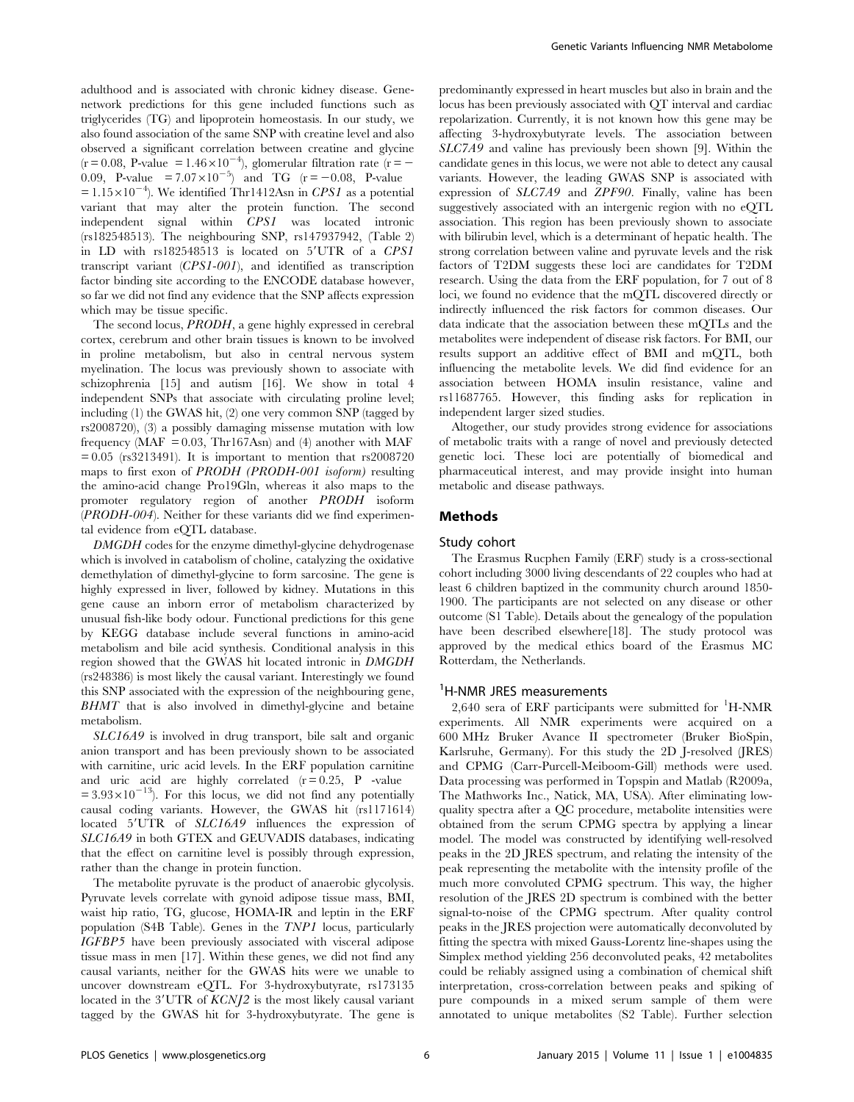adulthood and is associated with chronic kidney disease. Genenetwork predictions for this gene included functions such as triglycerides (TG) and lipoprotein homeostasis. In our study, we also found association of the same SNP with creatine level and also observed a significant correlation between creatine and glycine  $(r = 0.08, \text{ P-value } = 1.46 \times 10^{-4})$ , glomerular filtration rate  $(r = -1.46 \times 10^{-4})$ 0.09, P-value =  $7.07 \times 10^{-5}$  and TG (r = -0.08, P-value  $= 1.15 \times 10^{-4}$ ). We identified Thr1412Asn in CPS1 as a potential variant that may alter the protein function. The second independent signal within CPS1 was located intronic (rs182548513). The neighbouring SNP, rs147937942, (Table 2) in LD with  $rs182548513$  is located on  $5'UTR$  of a  $CPSI$ transcript variant (CPS1-001), and identified as transcription factor binding site according to the ENCODE database however, so far we did not find any evidence that the SNP affects expression which may be tissue specific.

The second locus, PRODH, a gene highly expressed in cerebral cortex, cerebrum and other brain tissues is known to be involved in proline metabolism, but also in central nervous system myelination. The locus was previously shown to associate with schizophrenia [15] and autism [16]. We show in total 4 independent SNPs that associate with circulating proline level; including (1) the GWAS hit, (2) one very common SNP (tagged by rs2008720), (3) a possibly damaging missense mutation with low frequency ( $MAF = 0.03$ , Thr167Asn) and (4) another with MAF  $= 0.05$  (rs3213491). It is important to mention that rs2008720 maps to first exon of PRODH (PRODH-001 isoform) resulting the amino-acid change Pro19Gln, whereas it also maps to the promoter regulatory region of another PRODH isoform (PRODH-004). Neither for these variants did we find experimental evidence from eQTL database.

DMGDH codes for the enzyme dimethyl-glycine dehydrogenase which is involved in catabolism of choline, catalyzing the oxidative demethylation of dimethyl-glycine to form sarcosine. The gene is highly expressed in liver, followed by kidney. Mutations in this gene cause an inborn error of metabolism characterized by unusual fish-like body odour. Functional predictions for this gene by KEGG database include several functions in amino-acid metabolism and bile acid synthesis. Conditional analysis in this region showed that the GWAS hit located intronic in DMGDH (rs248386) is most likely the causal variant. Interestingly we found this SNP associated with the expression of the neighbouring gene, BHMT that is also involved in dimethyl-glycine and betaine metabolism.

SLC16A9 is involved in drug transport, bile salt and organic anion transport and has been previously shown to be associated with carnitine, uric acid levels. In the ERF population carnitine and uric acid are highly correlated  $(r=0.25, P)$  -value  $= 3.93 \times 10^{-13}$ ). For this locus, we did not find any potentially causal coding variants. However, the GWAS hit (rs1171614) located 5'UTR of SLC16A9 influences the expression of SLC16A9 in both GTEX and GEUVADIS databases, indicating that the effect on carnitine level is possibly through expression, rather than the change in protein function.

The metabolite pyruvate is the product of anaerobic glycolysis. Pyruvate levels correlate with gynoid adipose tissue mass, BMI, waist hip ratio, TG, glucose, HOMA-IR and leptin in the ERF population (S4B Table). Genes in the TNP1 locus, particularly IGFBP5 have been previously associated with visceral adipose tissue mass in men [17]. Within these genes, we did not find any causal variants, neither for the GWAS hits were we unable to uncover downstream eQTL. For 3-hydroxybutyrate, rs173135 located in the  $3'UTR$  of  $KCNJ2$  is the most likely causal variant tagged by the GWAS hit for 3-hydroxybutyrate. The gene is

predominantly expressed in heart muscles but also in brain and the locus has been previously associated with QT interval and cardiac repolarization. Currently, it is not known how this gene may be affecting 3-hydroxybutyrate levels. The association between SLC7A9 and valine has previously been shown [9]. Within the candidate genes in this locus, we were not able to detect any causal variants. However, the leading GWAS SNP is associated with expression of SLC7A9 and ZPF90. Finally, valine has been suggestively associated with an intergenic region with no eQTL association. This region has been previously shown to associate with bilirubin level, which is a determinant of hepatic health. The strong correlation between valine and pyruvate levels and the risk factors of T2DM suggests these loci are candidates for T2DM research. Using the data from the ERF population, for 7 out of 8 loci, we found no evidence that the mQTL discovered directly or indirectly influenced the risk factors for common diseases. Our data indicate that the association between these mQTLs and the metabolites were independent of disease risk factors. For BMI, our results support an additive effect of BMI and mQTL, both influencing the metabolite levels. We did find evidence for an association between HOMA insulin resistance, valine and rs11687765. However, this finding asks for replication in independent larger sized studies.

Altogether, our study provides strong evidence for associations of metabolic traits with a range of novel and previously detected genetic loci. These loci are potentially of biomedical and pharmaceutical interest, and may provide insight into human metabolic and disease pathways.

#### Methods

#### Study cohort

The Erasmus Rucphen Family (ERF) study is a cross-sectional cohort including 3000 living descendants of 22 couples who had at least 6 children baptized in the community church around 1850- 1900. The participants are not selected on any disease or other outcome (S1 Table). Details about the genealogy of the population have been described elsewhere[18]. The study protocol was approved by the medical ethics board of the Erasmus MC Rotterdam, the Netherlands.

# <sup>1</sup>H-NMR JRES measurements

2,640 sera of ERF participants were submitted for <sup>1</sup>H-NMR experiments. All NMR experiments were acquired on a 600 MHz Bruker Avance II spectrometer (Bruker BioSpin, Karlsruhe, Germany). For this study the 2D J-resolved (JRES) and CPMG (Carr-Purcell-Meiboom-Gill) methods were used. Data processing was performed in Topspin and Matlab (R2009a, The Mathworks Inc., Natick, MA, USA). After eliminating lowquality spectra after a QC procedure, metabolite intensities were obtained from the serum CPMG spectra by applying a linear model. The model was constructed by identifying well-resolved peaks in the 2D JRES spectrum, and relating the intensity of the peak representing the metabolite with the intensity profile of the much more convoluted CPMG spectrum. This way, the higher resolution of the JRES 2D spectrum is combined with the better signal-to-noise of the CPMG spectrum. After quality control peaks in the JRES projection were automatically deconvoluted by fitting the spectra with mixed Gauss-Lorentz line-shapes using the Simplex method yielding 256 deconvoluted peaks, 42 metabolites could be reliably assigned using a combination of chemical shift interpretation, cross-correlation between peaks and spiking of pure compounds in a mixed serum sample of them were annotated to unique metabolites (S2 Table). Further selection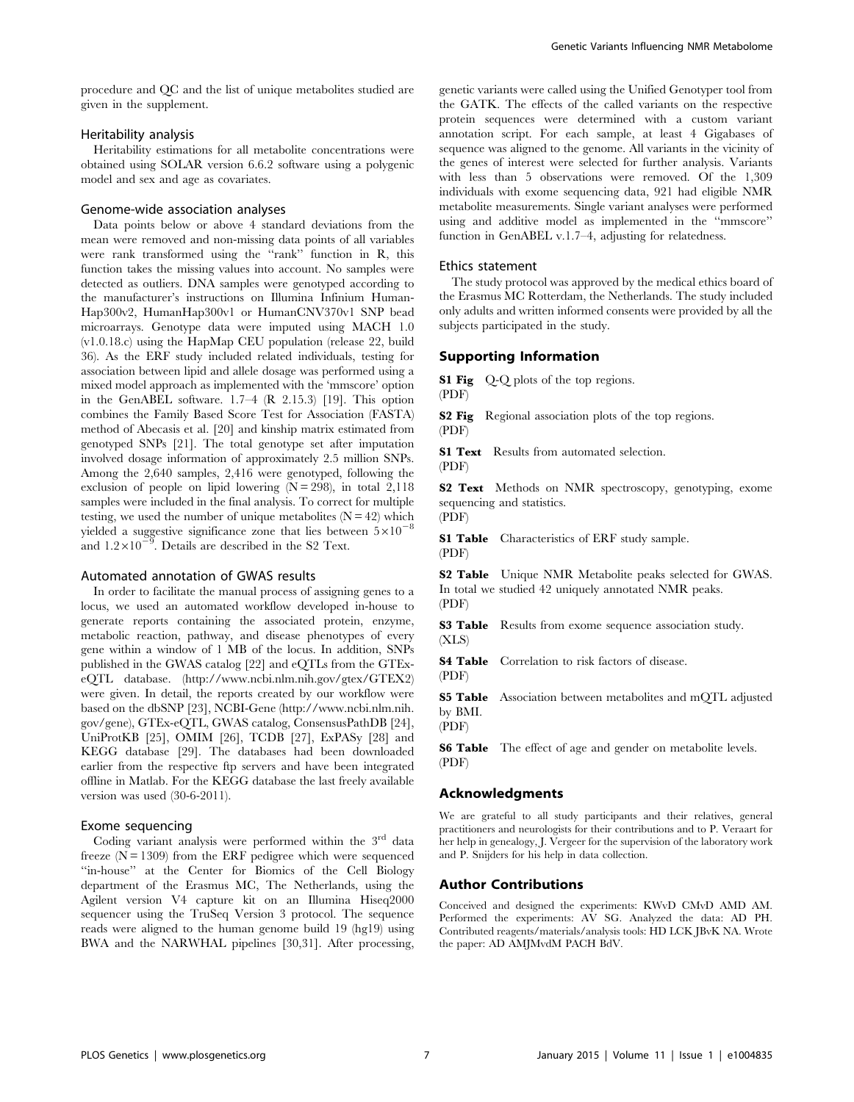procedure and QC and the list of unique metabolites studied are given in the supplement.

#### Heritability analysis

Heritability estimations for all metabolite concentrations were obtained using SOLAR version 6.6.2 software using a polygenic model and sex and age as covariates.

#### Genome-wide association analyses

Data points below or above 4 standard deviations from the mean were removed and non-missing data points of all variables were rank transformed using the "rank" function in R, this function takes the missing values into account. No samples were detected as outliers. DNA samples were genotyped according to the manufacturer's instructions on Illumina Infinium Human-Hap300v2, HumanHap300v1 or HumanCNV370v1 SNP bead microarrays. Genotype data were imputed using MACH 1.0 (v1.0.18.c) using the HapMap CEU population (release 22, build 36). As the ERF study included related individuals, testing for association between lipid and allele dosage was performed using a mixed model approach as implemented with the 'mmscore' option in the GenABEL software. 1.7–4 (R 2.15.3) [19]. This option combines the Family Based Score Test for Association (FASTA) method of Abecasis et al. [20] and kinship matrix estimated from genotyped SNPs [21]. The total genotype set after imputation involved dosage information of approximately 2.5 million SNPs. Among the 2,640 samples, 2,416 were genotyped, following the exclusion of people on lipid lowering  $(N = 298)$ , in total 2,118 samples were included in the final analysis. To correct for multiple testing, we used the number of unique metabolites  $(N = 42)$  which yielded a suggestive significance zone that lies between  $5\times10^{-8}$ and  $1.2 \times 10^{-9}$ . Details are described in the S2 Text.

## Automated annotation of GWAS results

In order to facilitate the manual process of assigning genes to a locus, we used an automated workflow developed in-house to generate reports containing the associated protein, enzyme, metabolic reaction, pathway, and disease phenotypes of every gene within a window of 1 MB of the locus. In addition, SNPs published in the GWAS catalog [22] and eQTLs from the GTExeQTL database. ([http://www.ncbi.nlm.nih.gov/gtex/GTEX2\)](http://www.ncbi.nlm.nih.gov/gtex/GTEX2) were given. In detail, the reports created by our workflow were based on the dbSNP [23], NCBI-Gene [\(http://www.ncbi.nlm.nih.](http://www.ncbi.nlm.nih.gov/gene) [gov/gene](http://www.ncbi.nlm.nih.gov/gene)), GTEx-eQTL, GWAS catalog, ConsensusPathDB [24], UniProtKB [25], OMIM [26], TCDB [27], ExPASy [28] and KEGG database [29]. The databases had been downloaded earlier from the respective ftp servers and have been integrated offline in Matlab. For the KEGG database the last freely available version was used (30-6-2011).

## Exome sequencing

Coding variant analysis were performed within the  $3<sup>rd</sup>$  data freeze  $(N = 1309)$  from the ERF pedigree which were sequenced ''in-house'' at the Center for Biomics of the Cell Biology department of the Erasmus MC, The Netherlands, using the Agilent version V4 capture kit on an Illumina Hiseq2000 sequencer using the TruSeq Version 3 protocol. The sequence reads were aligned to the human genome build 19 (hg19) using BWA and the NARWHAL pipelines [30,31]. After processing,

genetic variants were called using the Unified Genotyper tool from the GATK. The effects of the called variants on the respective protein sequences were determined with a custom variant annotation script. For each sample, at least 4 Gigabases of sequence was aligned to the genome. All variants in the vicinity of the genes of interest were selected for further analysis. Variants with less than 5 observations were removed. Of the 1,309 individuals with exome sequencing data, 921 had eligible NMR metabolite measurements. Single variant analyses were performed using and additive model as implemented in the ''mmscore'' function in GenABEL v.1.7–4, adjusting for relatedness.

#### Ethics statement

The study protocol was approved by the medical ethics board of the Erasmus MC Rotterdam, the Netherlands. The study included only adults and written informed consents were provided by all the subjects participated in the study.

## Supporting Information

**S1 Fig** Q-Q plots of the top regions. (PDF)

S2 Fig Regional association plots of the top regions. (PDF)

**S1 Text** Results from automated selection.

(PDF)

S2 Text Methods on NMR spectroscopy, genotyping, exome sequencing and statistics. (PDF)

S1 Table Characteristics of ERF study sample. (PDF)

S2 Table Unique NMR Metabolite peaks selected for GWAS. In total we studied 42 uniquely annotated NMR peaks. (PDF)

S3 Table Results from exome sequence association study. (XLS)

S4 Table Correlation to risk factors of disease.

(PDF)

S5 Table Association between metabolites and mQTL adjusted by BMI.

(PDF)

S6 Table The effect of age and gender on metabolite levels. (PDF)

## Acknowledgments

We are grateful to all study participants and their relatives, general practitioners and neurologists for their contributions and to P. Veraart for her help in genealogy, J. Vergeer for the supervision of the laboratory work and P. Snijders for his help in data collection.

## Author Contributions

Conceived and designed the experiments: KWvD CMvD AMD AM. Performed the experiments: AV SG. Analyzed the data: AD PH. Contributed reagents/materials/analysis tools: HD LCK JBvK NA. Wrote the paper: AD AMJMvdM PACH BdV.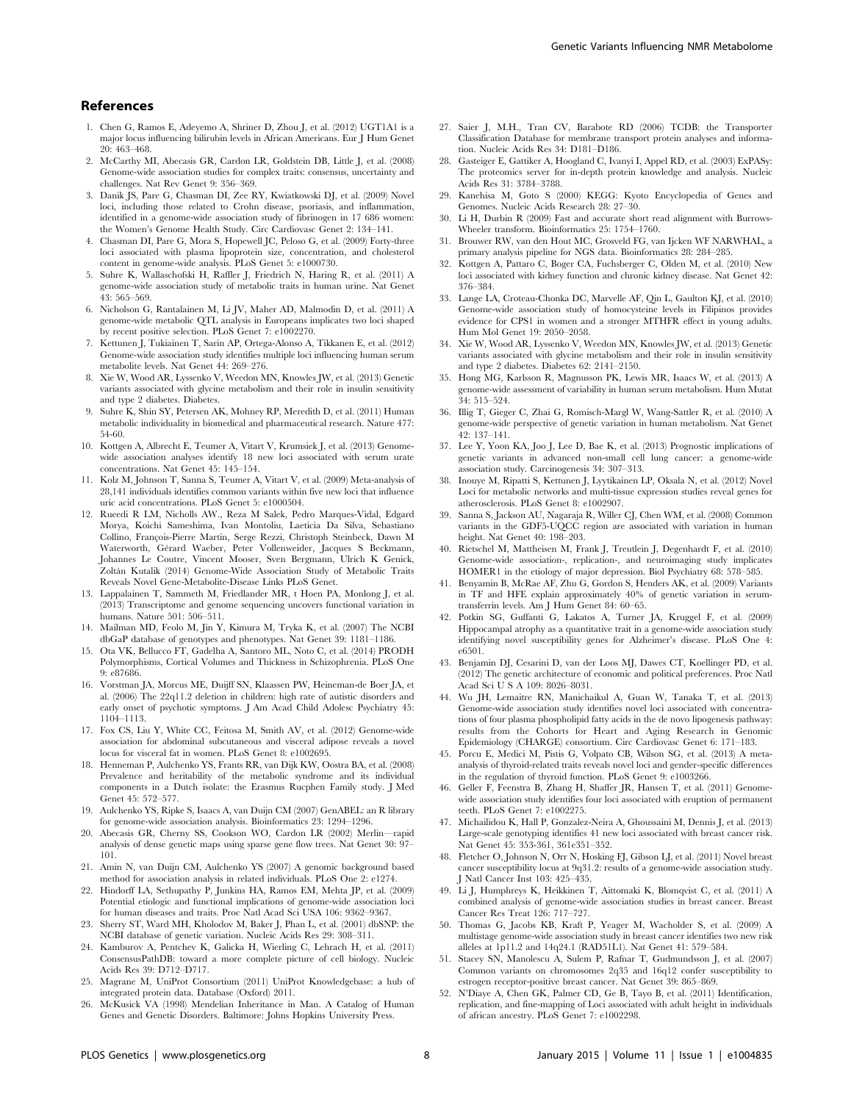#### References

- 1. Chen G, Ramos E, Adeyemo A, Shriner D, Zhou J, et al. (2012) UGT1A1 is a major locus influencing bilirubin levels in African Americans. Eur J Hum Genet 20: 463–468.
- 2. McCarthy MI, Abecasis GR, Cardon LR, Goldstein DB, Little J, et al. (2008) Genome-wide association studies for complex traits: consensus, uncertainty and challenges. Nat Rev Genet 9: 356–369.
- 3. Danik JS, Pare G, Chasman DI, Zee RY, Kwiatkowski DJ, et al. (2009) Novel loci, including those related to Crohn disease, psoriasis, and inflammation, identified in a genome-wide association study of fibrinogen in 17 686 women: the Women's Genome Health Study. Circ Cardiovasc Genet 2: 134–141.
- 4. Chasman DI, Pare G, Mora S, Hopewell JC, Peloso G, et al. (2009) Forty-three loci associated with plasma lipoprotein size, concentration, and cholesterol content in genome-wide analysis. PLoS Genet 5: e1000730.
- 5. Suhre K, Wallaschofski H, Raffler J, Friedrich N, Haring R, et al. (2011) A genome-wide association study of metabolic traits in human urine. Nat Genet 43: 565–569.
- 6. Nicholson G, Rantalainen M, Li JV, Maher AD, Malmodin D, et al. (2011) A genome-wide metabolic QTL analysis in Europeans implicates two loci shaped by recent positive selection. PLoS Genet 7: e1002270.
- 7. Kettunen J, Tukiainen T, Sarin AP, Ortega-Alonso A, Tikkanen E, et al. (2012) Genome-wide association study identifies multiple loci influencing human serum metabolite levels. Nat Genet 44: 269–276.
- 8. Xie W, Wood AR, Lyssenko V, Weedon MN, Knowles JW, et al. (2013) Genetic variants associated with glycine metabolism and their role in insulin sensitivity and type 2 diabetes. Diabetes.
- 9. Suhre K, Shin SY, Petersen AK, Mohney RP, Meredith D, et al. (2011) Human metabolic individuality in biomedical and pharmaceutical research. Nature 477: 54-60.
- 10. Kottgen A, Albrecht E, Teumer A, Vitart V, Krumsiek J, et al. (2013) Genomewide association analyses identify 18 new loci associated with serum urate concentrations. Nat Genet 45: 145–154.
- 11. Kolz M, Johnson T, Sanna S, Teumer A, Vitart V, et al. (2009) Meta-analysis of 28,141 individuals identifies common variants within five new loci that influence uric acid concentrations. PLoS Genet 5: e1000504.
- 12. Rueedi R LM, Nicholls AW., Reza M Salek, Pedro Marques-Vidal, Edgard Morya, Koichi Sameshima, Ivan Montoliu, Laeticia Da Silva, Sebastiano Collino, François-Pierre Martin, Serge Rezzi, Christoph Steinbeck, Dawn M Waterworth, Gérard Waeber, Peter Vollenweider, Jacques S Beckmann, Johannes Le Coutre, Vincent Mooser, Sven Bergmann, Ulrich K Genick, Zoltán Kutalik (2014) Genome-Wide Association Study of Metabolic Traits Reveals Novel Gene-Metabolite-Disease Links PLoS Genet.
- 13. Lappalainen T, Sammeth M, Friedlander MR, t Hoen PA, Monlong J, et al. (2013) Transcriptome and genome sequencing uncovers functional variation in humans. Nature 501: 506–511.
- 14. Mailman MD, Feolo M, Jin Y, Kimura M, Tryka K, et al. (2007) The NCBI dbGaP database of genotypes and phenotypes. Nat Genet 39: 1181–1186.
- 15. Ota VK, Bellucco FT, Gadelha A, Santoro ML, Noto C, et al. (2014) PRODH Polymorphisms, Cortical Volumes and Thickness in Schizophrenia. PLoS One 9: e87686.
- 16. Vorstman JA, Morcus ME, Duijff SN, Klaassen PW, Heineman-de Boer JA, et al. (2006) The 22q11.2 deletion in children: high rate of autistic disorders and early onset of psychotic symptoms. J Am Acad Child Adolesc Psychiatry 45: 1104–1113.
- 17. Fox CS, Liu Y, White CC, Feitosa M, Smith AV, et al. (2012) Genome-wide association for abdominal subcutaneous and visceral adipose reveals a novel locus for visceral fat in women. PLoS Genet 8: e1002695.
- 18. Henneman P, Aulchenko YS, Frants RR, van Dijk KW, Oostra BA, et al. (2008) Prevalence and heritability of the metabolic syndrome and its individual components in a Dutch isolate: the Erasmus Rucphen Family study. J Med Genet 45: 572–577.
- 19. Aulchenko YS, Ripke S, Isaacs A, van Duijn CM (2007) GenABEL: an R library for genome-wide association analysis. Bioinformatics 23: 1294–1296.
- 20. Abecasis GR, Cherny SS, Cookson WO, Cardon LR (2002) Merlin—rapid analysis of dense genetic maps using sparse gene flow trees. Nat Genet 30: 97– 101.
- 21. Amin N, van Duijn CM, Aulchenko YS (2007) A genomic background based method for association analysis in related individuals. PLoS One 2: e1274.
- 22. Hindorff LA, Sethupathy P, Junkins HA, Ramos EM, Mehta JP, et al. (2009) Potential etiologic and functional implications of genome-wide association loci for human diseases and traits. Proc Natl Acad Sci USA 106: 9362–9367.
- 23. Sherry ST, Ward MH, Kholodov M, Baker J, Phan L, et al. (2001) dbSNP: the NCBI database of genetic variation. Nucleic Acids Res 29: 308–311.
- 24. Kamburov A, Pentchev K, Galicka H, Wierling C, Lehrach H, et al. (2011) ConsensusPathDB: toward a more complete picture of cell biology. Nucleic Acids Res 39: D712–D717.
- 25. Magrane M, UniProt Consortium (2011) UniProt Knowledgebase: a hub of integrated protein data. Database (Oxford) 2011.
- 26. McKusick VA (1998) Mendelian Inheritance in Man. A Catalog of Human Genes and Genetic Disorders. Baltimore: Johns Hopkins University Press.
- 27. Saier J, M.H., Tran CV, Barabote RD (2006) TCDB: the Transporter Classification Database for membrane transport protein analyses and information. Nucleic Acids Res 34: D181–D186.
- 28. Gasteiger E, Gattiker A, Hoogland C, Ivanyi I, Appel RD, et al. (2003) ExPASy: The proteomics server for in-depth protein knowledge and analysis. Nucleic Acids Res 31: 3784–3788.
- 29. Kanehisa M, Goto S (2000) KEGG: Kyoto Encyclopedia of Genes and Genomes. Nucleic Acids Research 28: 27–30.
- 30. Li H, Durbin R (2009) Fast and accurate short read alignment with Burrows-Wheeler transform. Bioinformatics 25: 1754–1760.
- 31. Brouwer RW, van den Hout MC, Grosveld FG, van Ijcken WF NARWHAL, a primary analysis pipeline for NGS data. Bioinformatics 28: 284–285.
- 32. Kottgen A, Pattaro C, Boger CA, Fuchsberger C, Olden M, et al. (2010) New loci associated with kidney function and chronic kidney disease. Nat Genet 42: 376–384.
- 33. Lange LA, Croteau-Chonka DC, Marvelle AF, Qin L, Gaulton KJ, et al. (2010) Genome-wide association study of homocysteine levels in Filipinos provides evidence for CPS1 in women and a stronger MTHFR effect in young adults. Hum Mol Genet 19: 2050–2058.
- 34. Xie W, Wood AR, Lyssenko V, Weedon MN, Knowles JW, et al. (2013) Genetic variants associated with glycine metabolism and their role in insulin sensitivity and type 2 diabetes. Diabetes 62: 2141–2150.
- 35. Hong MG, Karlsson R, Magnusson PK, Lewis MR, Isaacs W, et al. (2013) A genome-wide assessment of variability in human serum metabolism. Hum Mutat 34: 515–524.
- 36. Illig T, Gieger C, Zhai G, Romisch-Margl W, Wang-Sattler R, et al. (2010) A genome-wide perspective of genetic variation in human metabolism. Nat Genet 42: 137–141.
- 37. Lee Y, Yoon KA, Joo J, Lee D, Bae K, et al. (2013) Prognostic implications of genetic variants in advanced non-small cell lung cancer: a genome-wide association study. Carcinogenesis 34: 307–313.
- 38. Inouye M, Ripatti S, Kettunen J, Lyytikainen LP, Oksala N, et al. (2012) Novel Loci for metabolic networks and multi-tissue expression studies reveal genes for atherosclerosis. PLoS Genet 8: e1002907.
- 39. Sanna S, Jackson AU, Nagaraja R, Willer CJ, Chen WM, et al. (2008) Common variants in the GDF5-UQCC region are associated with variation in human height. Nat Genet 40: 198–203.
- 40. Rietschel M, Mattheisen M, Frank J, Treutlein J, Degenhardt F, et al. (2010) Genome-wide association-, replication-, and neuroimaging study implicates HOMER1 in the etiology of major depression. Biol Psychiatry 68: 578–585.
- 41. Benyamin B, McRae AF, Zhu G, Gordon S, Henders AK, et al. (2009) Variants in TF and HFE explain approximately 40% of genetic variation in serumtransferrin levels. Am J Hum Genet 84: 60–65.
- 42. Potkin SG, Guffanti G, Lakatos A, Turner JA, Kruggel F, et al. (2009) Hippocampal atrophy as a quantitative trait in a genome-wide association study identifying novel susceptibility genes for Alzheimer's disease. PLoS One 4: e6501.
- 43. Benjamin DJ, Cesarini D, van der Loos MJ, Dawes CT, Koellinger PD, et al. (2012) The genetic architecture of economic and political preferences. Proc Natl Acad Sci U S A 109: 8026–8031.
- 44. Wu JH, Lemaitre RN, Manichaikul A, Guan W, Tanaka T, et al. (2013) Genome-wide association study identifies novel loci associated with concentrations of four plasma phospholipid fatty acids in the de novo lipogenesis pathway: results from the Cohorts for Heart and Aging Research in Genomic Epidemiology (CHARGE) consortium. Circ Cardiovasc Genet 6: 171–183.
- 45. Porcu E, Medici M, Pistis G, Volpato CB, Wilson SG, et al. (2013) A metaanalysis of thyroid-related traits reveals novel loci and gender-specific differences in the regulation of thyroid function. PLoS Genet 9: e1003266.
- 46. Geller F, Feenstra B, Zhang H, Shaffer JR, Hansen T, et al. (2011) Genomewide association study identifies four loci associated with eruption of permanent teeth. PLoS Genet 7: e1002275.
- 47. Michailidou K, Hall P, Gonzalez-Neira A, Ghoussaini M, Dennis J, et al. (2013) Large-scale genotyping identifies 41 new loci associated with breast cancer risk. Nat Genet 45: 353-361, 361e351–352.
- 48. Fletcher O, Johnson N, Orr N, Hosking FJ, Gibson LJ, et al. (2011) Novel breast cancer susceptibility locus at 9q31.2: results of a genome-wide association study. J Natl Cancer Inst 103: 425–435.
- 49. Li J, Humphreys K, Heikkinen T, Aittomaki K, Blomqvist C, et al. (2011) A combined analysis of genome-wide association studies in breast cancer. Breast Cancer Res Treat 126: 717–727.
- 50. Thomas G, Jacobs KB, Kraft P, Yeager M, Wacholder S, et al. (2009) A multistage genome-wide association study in breast cancer identifies two new risk alleles at 1p11.2 and 14q24.1 (RAD51L1). Nat Genet 41: 579–584.
- 51. Stacey SN, Manolescu A, Sulem P, Rafnar T, Gudmundsson J, et al. (2007) Common variants on chromosomes 2q35 and 16q12 confer susceptibility to estrogen receptor-positive breast cancer. Nat Genet 39: 865–869.
- 52. N'Diaye A, Chen GK, Palmer CD, Ge B, Tayo B, et al. (2011) Identification, replication, and fine-mapping of Loci associated with adult height in individuals of african ancestry. PLoS Genet 7: e1002298.